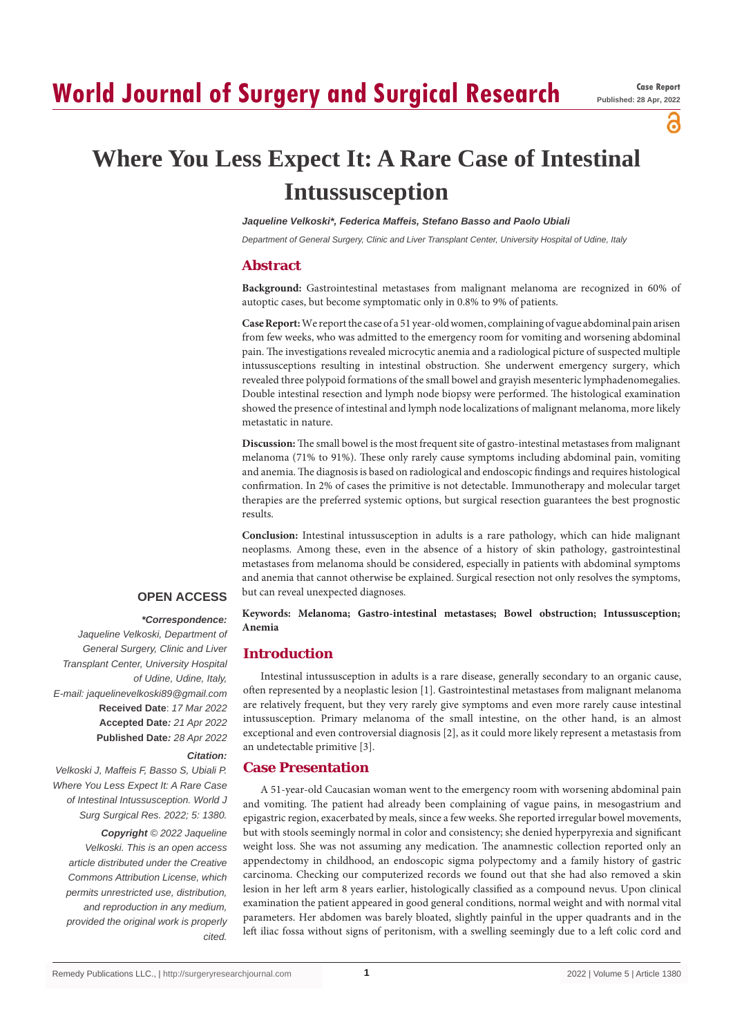а

# **Where You Less Expect It: A Rare Case of Intestinal Intussusception**

*Jaqueline Velkoski\*, Federica Maffeis, Stefano Basso and Paolo Ubiali*

*Department of General Surgery, Clinic and Liver Transplant Center, University Hospital of Udine, Italy*

# **Abstract**

**Background:** Gastrointestinal metastases from malignant melanoma are recognized in 60% of autoptic cases, but become symptomatic only in 0.8% to 9% of patients.

**Case Report:** We report the case of a 51 year-old women, complaining of vague abdominal pain arisen from few weeks, who was admitted to the emergency room for vomiting and worsening abdominal pain. The investigations revealed microcytic anemia and a radiological picture of suspected multiple intussusceptions resulting in intestinal obstruction. She underwent emergency surgery, which revealed three polypoid formations of the small bowel and grayish mesenteric lymphadenomegalies. Double intestinal resection and lymph node biopsy were performed. The histological examination showed the presence of intestinal and lymph node localizations of malignant melanoma, more likely metastatic in nature.

**Discussion:** The small bowel is the most frequent site of gastro-intestinal metastases from malignant melanoma (71% to 91%). These only rarely cause symptoms including abdominal pain, vomiting and anemia. The diagnosis is based on radiological and endoscopic findings and requires histological confirmation. In 2% of cases the primitive is not detectable. Immunotherapy and molecular target therapies are the preferred systemic options, but surgical resection guarantees the best prognostic results.

**Conclusion:** Intestinal intussusception in adults is a rare pathology, which can hide malignant neoplasms. Among these, even in the absence of a history of skin pathology, gastrointestinal metastases from melanoma should be considered, especially in patients with abdominal symptoms and anemia that cannot otherwise be explained. Surgical resection not only resolves the symptoms, but can reveal unexpected diagnoses.

## **OPEN ACCESS**

#### *\*Correspondence:*

*Jaqueline Velkoski, Department of General Surgery, Clinic and Liver Transplant Center, University Hospital of Udine, Udine, Italy, E-mail: jaquelinevelkoski89@gmail.com* **Received Date**: *17 Mar 2022* **Accepted Date***: 21 Apr 2022* **Published Date***: 28 Apr 2022*

## *Citation:*

*Velkoski J, Maffeis F, Basso S, Ubiali P. Where You Less Expect It: A Rare Case of Intestinal Intussusception. World J Surg Surgical Res. 2022; 5: 1380.*

*Copyright © 2022 Jaqueline Velkoski. This is an open access article distributed under the Creative Commons Attribution License, which permits unrestricted use, distribution, and reproduction in any medium, provided the original work is properly cited.*

**Keywords: Melanoma; Gastro-intestinal metastases; Bowel obstruction; Intussusception; Anemia**

# **Introduction**

Intestinal intussusception in adults is a rare disease, generally secondary to an organic cause, often represented by a neoplastic lesion [1]. Gastrointestinal metastases from malignant melanoma are relatively frequent, but they very rarely give symptoms and even more rarely cause intestinal intussusception. Primary melanoma of the small intestine, on the other hand, is an almost exceptional and even controversial diagnosis [2], as it could more likely represent a metastasis from an undetectable primitive [3].

# **Case Presentation**

A 51-year-old Caucasian woman went to the emergency room with worsening abdominal pain and vomiting. The patient had already been complaining of vague pains, in mesogastrium and epigastric region, exacerbated by meals, since a few weeks. She reported irregular bowel movements, but with stools seemingly normal in color and consistency; she denied hyperpyrexia and significant weight loss. She was not assuming any medication. The anamnestic collection reported only an appendectomy in childhood, an endoscopic sigma polypectomy and a family history of gastric carcinoma. Checking our computerized records we found out that she had also removed a skin lesion in her left arm 8 years earlier, histologically classified as a compound nevus. Upon clinical examination the patient appeared in good general conditions, normal weight and with normal vital parameters. Her abdomen was barely bloated, slightly painful in the upper quadrants and in the left iliac fossa without signs of peritonism, with a swelling seemingly due to a left colic cord and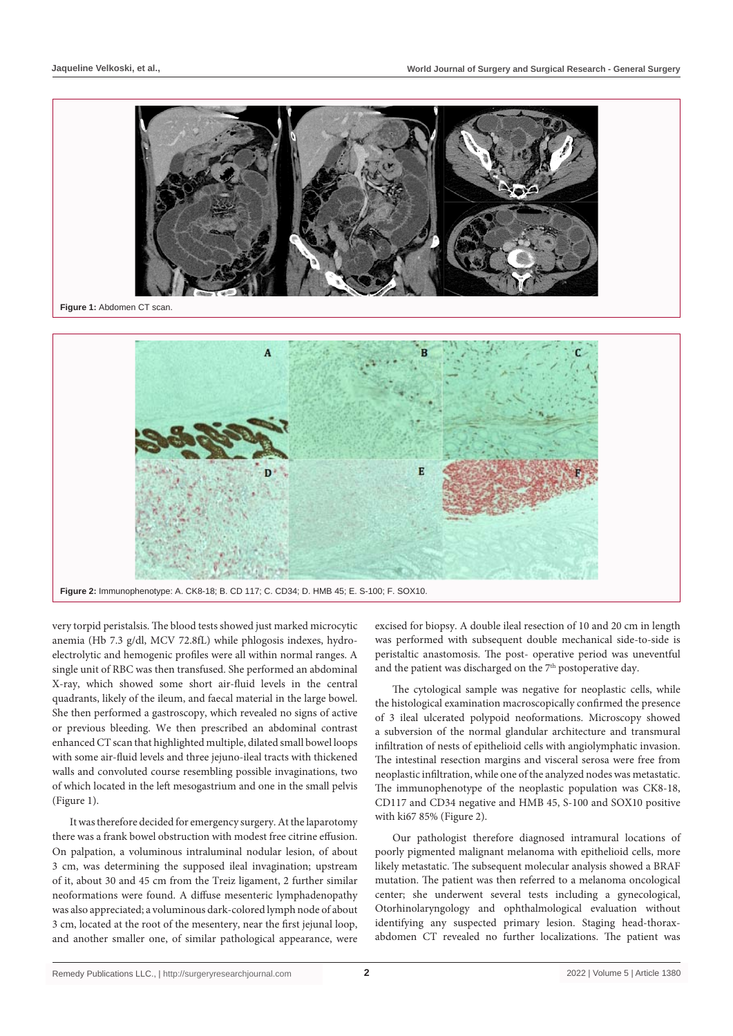

very torpid peristalsis. The blood tests showed just marked microcytic anemia (Hb 7.3 g/dl, MCV 72.8fL) while phlogosis indexes, hydroelectrolytic and hemogenic profiles were all within normal ranges. A single unit of RBC was then transfused. She performed an abdominal X-ray, which showed some short air-fluid levels in the central quadrants, likely of the ileum, and faecal material in the large bowel. She then performed a gastroscopy, which revealed no signs of active or previous bleeding. We then prescribed an abdominal contrast enhanced CT scan that highlighted multiple, dilated small bowel loops with some air-fluid levels and three jejuno-ileal tracts with thickened walls and convoluted course resembling possible invaginations, two of which located in the left mesogastrium and one in the small pelvis (Figure 1).

It was therefore decided for emergency surgery. At the laparotomy there was a frank bowel obstruction with modest free citrine effusion. On palpation, a voluminous intraluminal nodular lesion, of about 3 cm, was determining the supposed ileal invagination; upstream of it, about 30 and 45 cm from the Treiz ligament, 2 further similar neoformations were found. A diffuse mesenteric lymphadenopathy was also appreciated; a voluminous dark-colored lymph node of about 3 cm, located at the root of the mesentery, near the first jejunal loop, and another smaller one, of similar pathological appearance, were

excised for biopsy. A double ileal resection of 10 and 20 cm in length was performed with subsequent double mechanical side-to-side is peristaltic anastomosis. The post- operative period was uneventful and the patient was discharged on the 7<sup>th</sup> postoperative day.

The cytological sample was negative for neoplastic cells, while the histological examination macroscopically confirmed the presence of 3 ileal ulcerated polypoid neoformations. Microscopy showed a subversion of the normal glandular architecture and transmural infiltration of nests of epithelioid cells with angiolymphatic invasion. The intestinal resection margins and visceral serosa were free from neoplastic infiltration, while one of the analyzed nodes was metastatic. The immunophenotype of the neoplastic population was CK8-18, CD117 and CD34 negative and HMB 45, S-100 and SOX10 positive with ki67 85% (Figure 2).

Our pathologist therefore diagnosed intramural locations of poorly pigmented malignant melanoma with epithelioid cells, more likely metastatic. The subsequent molecular analysis showed a BRAF mutation. The patient was then referred to a melanoma oncological center; she underwent several tests including a gynecological, Otorhinolaryngology and ophthalmological evaluation without identifying any suspected primary lesion. Staging head-thoraxabdomen CT revealed no further localizations. The patient was